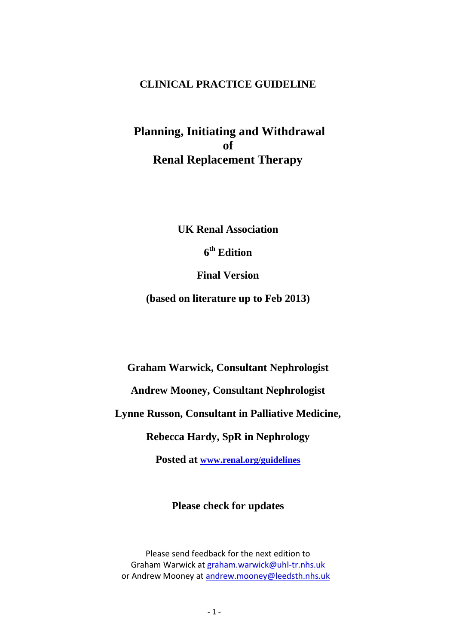### **CLINICAL PRACTICE GUIDELINE**

**Planning, Initiating and Withdrawal of Renal Replacement Therapy**

**UK Renal Association**

**6 th Edition**

**Final Version** 

**(based on literature up to Feb 2013)**

**Graham Warwick, Consultant Nephrologist**

**Andrew Mooney, Consultant Nephrologist** 

**Lynne Russon, Consultant in Palliative Medicine,**

**Rebecca Hardy, SpR in Nephrology**

**Posted at [www.renal.org/guidelines](http://www.renal.org/guidelines)**

### **Please check for updates**

Please send feedback for the next edition to Graham Warwick at [graham.warwick@uhl-tr.nhs.uk](mailto:graham.warwick@uhl-tr.nhs.uk) or Andrew Mooney at<andrew.mooney@leedsth.nhs.uk>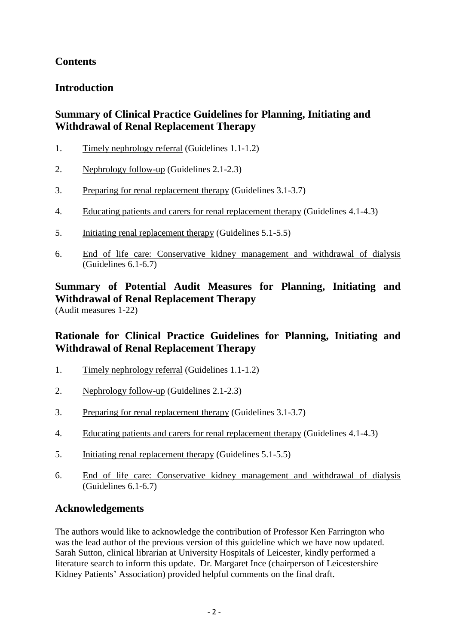## **Contents**

## **Introduction**

## **Summary of Clinical Practice Guidelines for Planning, Initiating and Withdrawal of Renal Replacement Therapy**

- 1. Timely nephrology referral (Guidelines 1.1-1.2)
- 2. Nephrology follow-up (Guidelines 2.1-2.3)
- 3. Preparing for renal replacement therapy (Guidelines 3.1-3.7)
- 4. Educating patients and carers for renal replacement therapy (Guidelines 4.1-4.3)
- 5. Initiating renal replacement therapy (Guidelines 5.1-5.5)
- 6. End of life care: Conservative kidney management and withdrawal of dialysis (Guidelines 6.1-6.7)

## **Summary of Potential Audit Measures for Planning, Initiating and Withdrawal of Renal Replacement Therapy**

(Audit measures 1-22)

## **Rationale for Clinical Practice Guidelines for Planning, Initiating and Withdrawal of Renal Replacement Therapy**

- 1. Timely nephrology referral (Guidelines 1.1-1.2)
- 2. Nephrology follow-up (Guidelines 2.1-2.3)
- 3. Preparing for renal replacement therapy (Guidelines 3.1-3.7)
- 4. Educating patients and carers for renal replacement therapy (Guidelines 4.1-4.3)
- 5. Initiating renal replacement therapy (Guidelines 5.1-5.5)
- 6. End of life care: Conservative kidney management and withdrawal of dialysis (Guidelines 6.1-6.7)

## **Acknowledgements**

The authors would like to acknowledge the contribution of Professor Ken Farrington who was the lead author of the previous version of this guideline which we have now updated. Sarah Sutton, clinical librarian at University Hospitals of Leicester, kindly performed a literature search to inform this update. Dr. Margaret Ince (chairperson of Leicestershire Kidney Patients' Association) provided helpful comments on the final draft.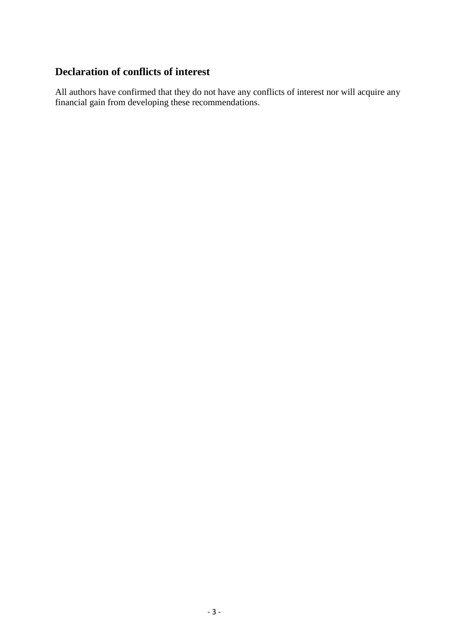### **Declaration of conflicts of interest**

All authors have confirmed that they do not have any conflicts of interest nor will acquire any financial gain from developing these recommendations.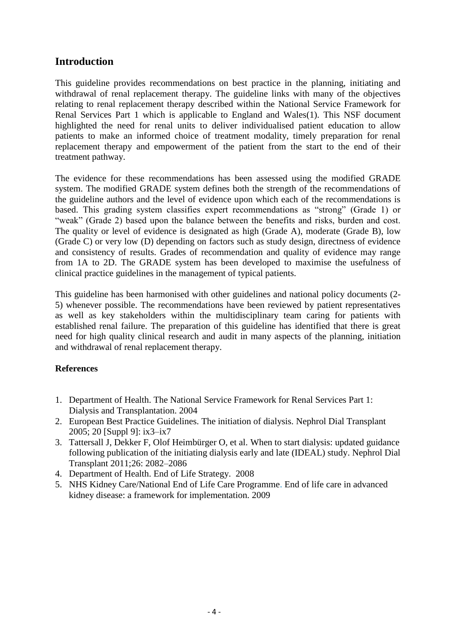### **Introduction**

This guideline provides recommendations on best practice in the planning, initiating and withdrawal of renal replacement therapy. The guideline links with many of the objectives relating to renal replacement therapy described within the National Service Framework for Renal Services Part 1 which is applicable to England and Wales(1). This NSF document highlighted the need for renal units to deliver individualised patient education to allow patients to make an informed choice of treatment modality, timely preparation for renal replacement therapy and empowerment of the patient from the start to the end of their treatment pathway.

The evidence for these recommendations has been assessed using the modified GRADE system. The modified GRADE system defines both the strength of the recommendations of the guideline authors and the level of evidence upon which each of the recommendations is based. This grading system classifies expert recommendations as "strong" (Grade 1) or "weak" (Grade 2) based upon the balance between the benefits and risks, burden and cost. The quality or level of evidence is designated as high (Grade A), moderate (Grade B), low (Grade C) or very low (D) depending on factors such as study design, directness of evidence and consistency of results. Grades of recommendation and quality of evidence may range from 1A to 2D. The GRADE system has been developed to maximise the usefulness of clinical practice guidelines in the management of typical patients.

This guideline has been harmonised with other guidelines and national policy documents (2- 5) whenever possible. The recommendations have been reviewed by patient representatives as well as key stakeholders within the multidisciplinary team caring for patients with established renal failure. The preparation of this guideline has identified that there is great need for high quality clinical research and audit in many aspects of the planning, initiation and withdrawal of renal replacement therapy.

#### **References**

- 1. Department of Health. The National Service Framework for Renal Services Part 1: Dialysis and Transplantation. 2004
- 2. European Best Practice Guidelines. The initiation of dialysis. Nephrol Dial Transplant 2005; 20 [Suppl 9]: ix3–ix7
- 3. Tattersall J, Dekker F, Olof Heimbürger O, et al. When to start dialysis: updated guidance following publication of the initiating dialysis early and late (IDEAL) study. Nephrol Dial Transplant 2011;26: 2082–2086
- 4. Department of Health. End of Life Strategy. 2008
- 5. NHS Kidney Care/National End of Life Care Programme. End of life care in advanced kidney disease: a framework for implementation. 2009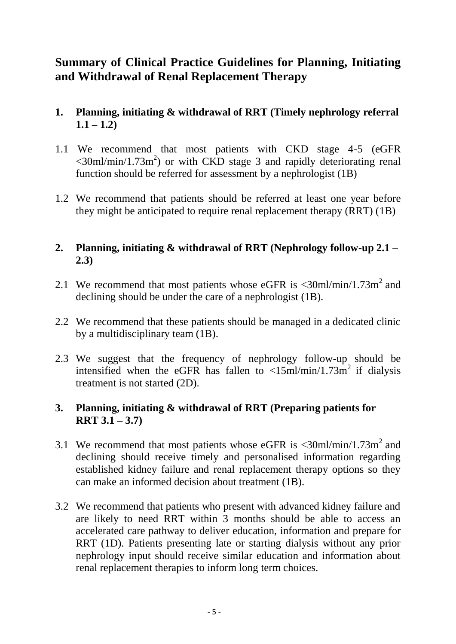# **Summary of Clinical Practice Guidelines for Planning, Initiating and Withdrawal of Renal Replacement Therapy**

## **1. Planning, initiating & withdrawal of RRT (Timely nephrology referral**   $1.1 - 1.2$

- 1.1 We recommend that most patients with CKD stage 4-5 (eGFR  $\langle$  30ml/min/1.73m<sup>2</sup>) or with CKD stage 3 and rapidly deteriorating renal function should be referred for assessment by a nephrologist (1B)
- 1.2 We recommend that patients should be referred at least one year before they might be anticipated to require renal replacement therapy (RRT) (1B)

## **2. Planning, initiating & withdrawal of RRT (Nephrology follow-up 2.1 – 2.3)**

- 2.1 We recommend that most patients whose eGFR is  $\langle 30 \text{ml/min}/1.73 \text{m}^2 \rangle$  and declining should be under the care of a nephrologist (1B).
- 2.2 We recommend that these patients should be managed in a dedicated clinic by a multidisciplinary team (1B).
- 2.3 We suggest that the frequency of nephrology follow-up should be intensified when the eGFR has fallen to  $\langle 15 \text{ml/min}/1.73 \text{m}^2 \rangle$  if dialysis treatment is not started (2D).

## **3. Planning, initiating & withdrawal of RRT (Preparing patients for RRT 3.1 – 3.7)**

- 3.1 We recommend that most patients whose eGFR is  $\langle 30 \text{ml/min}/1.73 \text{m}^2 \rangle$  and declining should receive timely and personalised information regarding established kidney failure and renal replacement therapy options so they can make an informed decision about treatment (1B).
- 3.2 We recommend that patients who present with advanced kidney failure and are likely to need RRT within 3 months should be able to access an accelerated care pathway to deliver education, information and prepare for RRT (1D). Patients presenting late or starting dialysis without any prior nephrology input should receive similar education and information about renal replacement therapies to inform long term choices.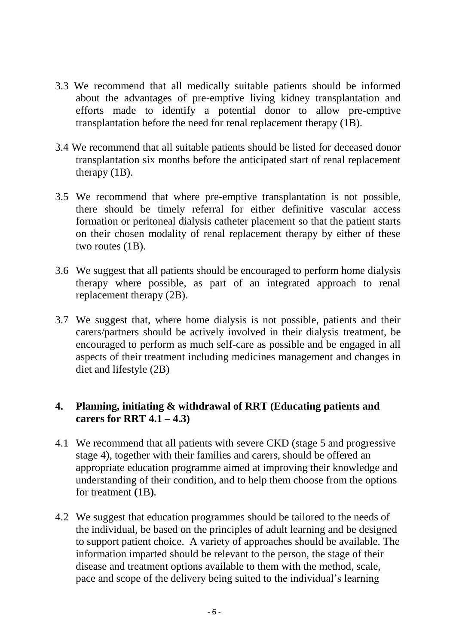- 3.3 We recommend that all medically suitable patients should be informed about the advantages of pre-emptive living kidney transplantation and efforts made to identify a potential donor to allow pre-emptive transplantation before the need for renal replacement therapy (1B).
- 3.4 We recommend that all suitable patients should be listed for deceased donor transplantation six months before the anticipated start of renal replacement therapy (1B).
- 3.5 We recommend that where pre-emptive transplantation is not possible, there should be timely referral for either definitive vascular access formation or peritoneal dialysis catheter placement so that the patient starts on their chosen modality of renal replacement therapy by either of these two routes (1B).
- 3.6 We suggest that all patients should be encouraged to perform home dialysis therapy where possible, as part of an integrated approach to renal replacement therapy (2B).
- 3.7 We suggest that, where home dialysis is not possible, patients and their carers/partners should be actively involved in their dialysis treatment, be encouraged to perform as much self-care as possible and be engaged in all aspects of their treatment including medicines management and changes in diet and lifestyle (2B)

### **4. Planning, initiating & withdrawal of RRT (Educating patients and carers for RRT 4.1 – 4.3)**

- 4.1 We recommend that all patients with severe CKD (stage 5 and progressive stage 4), together with their families and carers, should be offered an appropriate education programme aimed at improving their knowledge and understanding of their condition, and to help them choose from the options for treatment **(**1B**).**
- 4.2 We suggest that education programmes should be tailored to the needs of the individual, be based on the principles of adult learning and be designed to support patient choice. A variety of approaches should be available. The information imparted should be relevant to the person, the stage of their disease and treatment options available to them with the method, scale, pace and scope of the delivery being suited to the individual's learning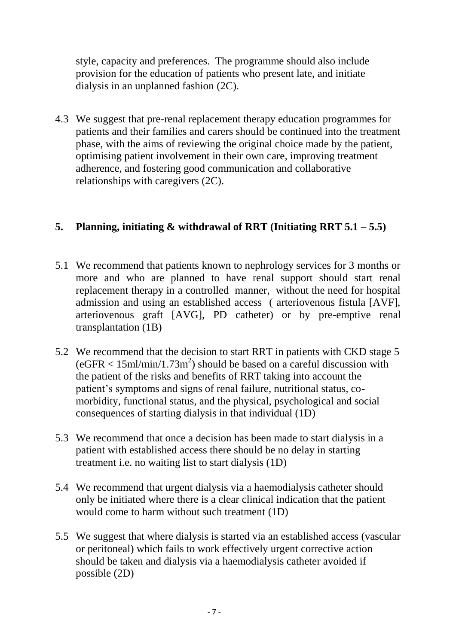style, capacity and preferences. The programme should also include provision for the education of patients who present late, and initiate dialysis in an unplanned fashion (2C).

4.3 We suggest that pre-renal replacement therapy education programmes for patients and their families and carers should be continued into the treatment phase, with the aims of reviewing the original choice made by the patient, optimising patient involvement in their own care, improving treatment adherence, and fostering good communication and collaborative relationships with caregivers (2C).

## **5. Planning, initiating & withdrawal of RRT (Initiating RRT 5.1 – 5.5)**

- 5.1 We recommend that patients known to nephrology services for 3 months or more and who are planned to have renal support should start renal replacement therapy in a controlled manner, without the need for hospital admission and using an established access ( arteriovenous fistula [AVF], arteriovenous graft [AVG], PD catheter) or by pre-emptive renal transplantation (1B)
- 5.2 We recommend that the decision to start RRT in patients with CKD stage 5  $(eGFR < 15$ ml/min/1.73m<sup>2</sup>) should be based on a careful discussion with the patient of the risks and benefits of RRT taking into account the patient's symptoms and signs of renal failure, nutritional status, comorbidity, functional status, and the physical, psychological and social consequences of starting dialysis in that individual (1D)
- 5.3 We recommend that once a decision has been made to start dialysis in a patient with established access there should be no delay in starting treatment i.e. no waiting list to start dialysis (1D)
- 5.4 We recommend that urgent dialysis via a haemodialysis catheter should only be initiated where there is a clear clinical indication that the patient would come to harm without such treatment (1D)
- 5.5 We suggest that where dialysis is started via an established access (vascular or peritoneal) which fails to work effectively urgent corrective action should be taken and dialysis via a haemodialysis catheter avoided if possible (2D)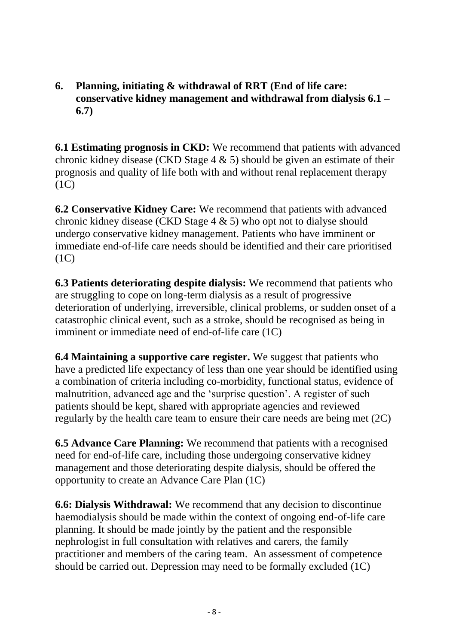**6. Planning, initiating & withdrawal of RRT (End of life care: conservative kidney management and withdrawal from dialysis 6.1 – 6.7)**

**6.1 Estimating prognosis in CKD:** We recommend that patients with advanced chronic kidney disease (CKD Stage  $4 \& 5$ ) should be given an estimate of their prognosis and quality of life both with and without renal replacement therapy  $(1C)$ 

**6.2 Conservative Kidney Care:** We recommend that patients with advanced chronic kidney disease (CKD Stage 4 & 5) who opt not to dialyse should undergo conservative kidney management. Patients who have imminent or immediate end-of-life care needs should be identified and their care prioritised  $(1C)$ 

**6.3 Patients deteriorating despite dialysis:** We recommend that patients who are struggling to cope on long-term dialysis as a result of progressive deterioration of underlying, irreversible, clinical problems, or sudden onset of a catastrophic clinical event, such as a stroke, should be recognised as being in imminent or immediate need of end-of-life care (1C)

**6.4 Maintaining a supportive care register.** We suggest that patients who have a predicted life expectancy of less than one year should be identified using a combination of criteria including co-morbidity, functional status, evidence of malnutrition, advanced age and the 'surprise question'. A register of such patients should be kept, shared with appropriate agencies and reviewed regularly by the health care team to ensure their care needs are being met (2C)

**6.5 Advance Care Planning:** We recommend that patients with a recognised need for end-of-life care, including those undergoing conservative kidney management and those deteriorating despite dialysis, should be offered the opportunity to create an Advance Care Plan (1C)

**6.6: Dialysis Withdrawal:** We recommend that any decision to discontinue haemodialysis should be made within the context of ongoing end-of-life care planning. It should be made jointly by the patient and the responsible nephrologist in full consultation with relatives and carers, the family practitioner and members of the caring team. An assessment of competence should be carried out. Depression may need to be formally excluded (1C)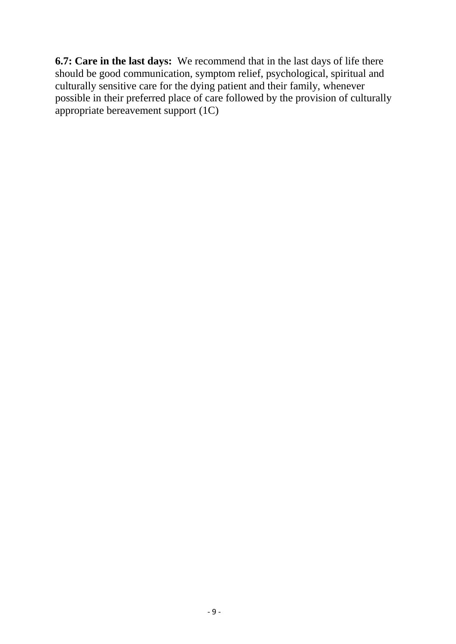**6.7: Care in the last days:** We recommend that in the last days of life there should be good communication, symptom relief, psychological, spiritual and culturally sensitive care for the dying patient and their family, whenever possible in their preferred place of care followed by the provision of culturally appropriate bereavement support (1C)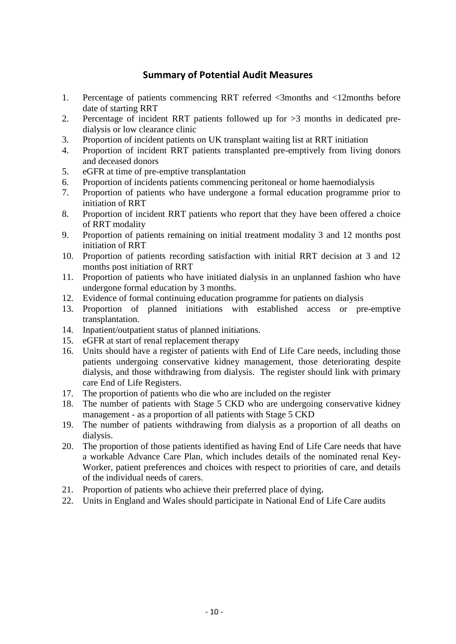### **Summary of Potential Audit Measures**

- 1. Percentage of patients commencing RRT referred <3months and <12months before date of starting RRT
- 2. Percentage of incident RRT patients followed up for >3 months in dedicated predialysis or low clearance clinic
- 3. Proportion of incident patients on UK transplant waiting list at RRT initiation
- 4. Proportion of incident RRT patients transplanted pre-emptively from living donors and deceased donors
- 5. eGFR at time of pre-emptive transplantation
- 6. Proportion of incidents patients commencing peritoneal or home haemodialysis
- 7. Proportion of patients who have undergone a formal education programme prior to initiation of RRT
- 8. Proportion of incident RRT patients who report that they have been offered a choice of RRT modality
- 9. Proportion of patients remaining on initial treatment modality 3 and 12 months post initiation of RRT
- 10. Proportion of patients recording satisfaction with initial RRT decision at 3 and 12 months post initiation of RRT
- 11. Proportion of patients who have initiated dialysis in an unplanned fashion who have undergone formal education by 3 months.
- 12. Evidence of formal continuing education programme for patients on dialysis
- 13. Proportion of planned initiations with established access or pre-emptive transplantation.
- 14. Inpatient/outpatient status of planned initiations.
- 15. eGFR at start of renal replacement therapy
- 16. Units should have a register of patients with End of Life Care needs, including those patients undergoing conservative kidney management, those deteriorating despite dialysis, and those withdrawing from dialysis. The register should link with primary care End of Life Registers.
- 17. The proportion of patients who die who are included on the register
- 18. The number of patients with Stage 5 CKD who are undergoing conservative kidney management - as a proportion of all patients with Stage 5 CKD
- 19. The number of patients withdrawing from dialysis as a proportion of all deaths on dialysis.
- 20. The proportion of those patients identified as having End of Life Care needs that have a workable Advance Care Plan, which includes details of the nominated renal Key-Worker, patient preferences and choices with respect to priorities of care, and details of the individual needs of carers.
- 21. Proportion of patients who achieve their preferred place of dying.
- 22. Units in England and Wales should participate in National End of Life Care audits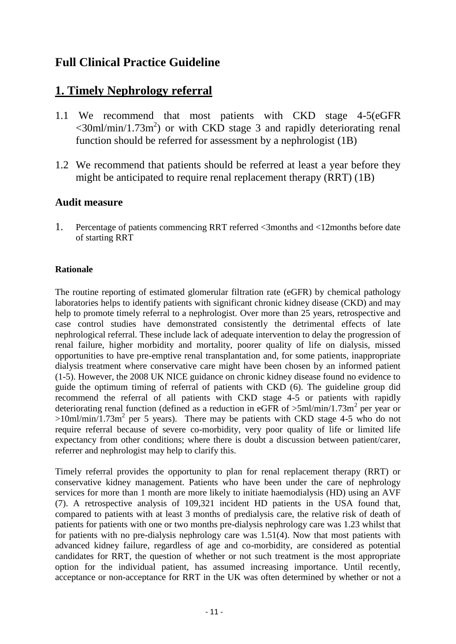# **Full Clinical Practice Guideline**

# **1. Timely Nephrology referral**

- 1.1 We recommend that most patients with CKD stage 4-5(eGFR  $\langle$  30ml/min/1.73m<sup>2</sup>) or with CKD stage 3 and rapidly deteriorating renal function should be referred for assessment by a nephrologist (1B)
- 1.2 We recommend that patients should be referred at least a year before they might be anticipated to require renal replacement therapy (RRT) (1B)

### **Audit measure**

1. Percentage of patients commencing RRT referred <3months and <12months before date of starting RRT

### **Rationale**

The routine reporting of estimated glomerular filtration rate (eGFR) by chemical pathology laboratories helps to identify patients with significant chronic kidney disease (CKD) and may help to promote timely referral to a nephrologist. Over more than 25 years, retrospective and case control studies have demonstrated consistently the detrimental effects of late nephrological referral. These include lack of adequate intervention to delay the progression of renal failure, higher morbidity and mortality, poorer quality of life on dialysis, missed opportunities to have pre-emptive renal transplantation and, for some patients, inappropriate dialysis treatment where conservative care might have been chosen by an informed patient (1-5). However, the 2008 UK NICE guidance on chronic kidney disease found no evidence to guide the optimum timing of referral of patients with CKD (6). The guideline group did recommend the referral of all patients with CKD stage 4-5 or patients with rapidly deteriorating renal function (defined as a reduction in eGFR of  $>5$ ml/min/1.73m<sup>2</sup> per year or  $>10$ ml/min/1.73m<sup>2</sup> per 5 years). There may be patients with CKD stage 4-5 who do not require referral because of severe co-morbidity, very poor quality of life or limited life expectancy from other conditions; where there is doubt a discussion between patient/carer, referrer and nephrologist may help to clarify this.

Timely referral provides the opportunity to plan for renal replacement therapy (RRT) or conservative kidney management. Patients who have been under the care of nephrology services for more than 1 month are more likely to initiate haemodialysis (HD) using an AVF (7). A retrospective analysis of 109,321 incident HD patients in the USA found that, compared to patients with at least 3 months of predialysis care, the relative risk of death of patients for patients with one or two months pre-dialysis nephrology care was 1.23 whilst that for patients with no pre-dialysis nephrology care was 1.51(4). Now that most patients with advanced kidney failure, regardless of age and co-morbidity, are considered as potential candidates for RRT, the question of whether or not such treatment is the most appropriate option for the individual patient, has assumed increasing importance. Until recently, acceptance or non-acceptance for RRT in the UK was often determined by whether or not a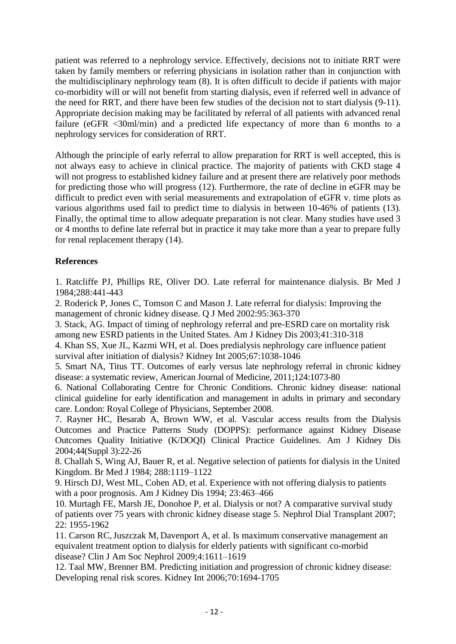patient was referred to a nephrology service. Effectively, decisions not to initiate RRT were taken by family members or referring physicians in isolation rather than in conjunction with the multidisciplinary nephrology team (8). It is often difficult to decide if patients with major co-morbidity will or will not benefit from starting dialysis, even if referred well in advance of the need for RRT, and there have been few studies of the decision not to start dialysis (9-11). Appropriate decision making may be facilitated by referral of all patients with advanced renal failure (eGFR <30ml/min) and a predicted life expectancy of more than 6 months to a nephrology services for consideration of RRT.

Although the principle of early referral to allow preparation for RRT is well accepted, this is not always easy to achieve in clinical practice. The majority of patients with CKD stage 4 will not progress to established kidney failure and at present there are relatively poor methods for predicting those who will progress (12). Furthermore, the rate of decline in eGFR may be difficult to predict even with serial measurements and extrapolation of eGFR v. time plots as various algorithms used fail to predict time to dialysis in between 10-46% of patients (13). Finally, the optimal time to allow adequate preparation is not clear. Many studies have used 3 or 4 months to define late referral but in practice it may take more than a year to prepare fully for renal replacement therapy (14).

#### **References**

1. Ratcliffe PJ, Phillips RE, Oliver DO. Late referral for maintenance dialysis. Br Med J 1984;288:441-443

2. Roderick P, Jones C, Tomson C and Mason J. Late referral for dialysis: Improving the management of chronic kidney disease. Q J Med 2002:95:363-370

3. Stack, AG. Impact of timing of nephrology referral and pre-ESRD care on mortality risk among new ESRD patients in the United States. Am J Kidney Dis 2003;41:310-318

4. Khan SS, Xue JL, Kazmi WH, et al. Does predialysis nephrology care influence patient survival after initiation of dialysis? Kidney Int 2005;67:1038-1046

5. Smart NA, Titus TT. Outcomes of early versus late nephrology referral in chronic kidney disease: a systematic review, American Journal of Medicine, 2011;124:1073-80

6. National Collaborating Centre for Chronic Conditions. Chronic kidney disease: national clinical guideline for early identification and management in adults in primary and secondary care. London: Royal College of Physicians, September 2008.

7. Rayner HC, Besarab A, Brown WW, et al. Vascular access results from the Dialysis Outcomes and Practice Patterns Study (DOPPS): performance against Kidney Disease Outcomes Quality Initiative (K/DOQI) Clinical Practice Guidelines. Am J Kidney Dis 2004;44(Suppl 3):22-26

8. Challah S, Wing AJ, Bauer R, et al. Negative selection of patients for dialysis in the United Kingdom. Br Med J 1984; 288:1119–1122

9. Hirsch DJ, West ML, Cohen AD, et al. Experience with not offering dialysis to patients with a poor prognosis. Am J Kidney Dis 1994; 23:463–466

10. Murtagh FE, Marsh JE, Donohoe P, et al. Dialysis or not? A comparative survival study of patients over 75 years with chronic kidney disease stage 5. Nephrol Dial Transplant 2007; 22: 1955-1962

11. [Carson](http://www.ncbi.nlm.nih.gov/sites/entrez?cmd=search&db=PubMed&term=%20Carson%20RC%5Bauth%5D) RC[,Juszczak](http://www.ncbi.nlm.nih.gov/sites/entrez?cmd=search&db=PubMed&term=%20Juszczak%20M%5Bauth%5D) M, [Davenport](http://www.ncbi.nlm.nih.gov/sites/entrez?cmd=search&db=PubMed&term=%20Davenport%20A%5Bauth%5D) A, [et](http://www.ncbi.nlm.nih.gov/sites/entrez?cmd=search&db=PubMed&term=%20Burns%20A%5Bauth%5D) al. Is maximum conservative management an equivalent treatment option to dialysis for elderly patients with significant co-morbid disease? Clin J Am Soc Nephrol 2009;4:1611–1619

12. Taal MW, Brenner BM. Predicting initiation and progression of chronic kidney disease: Developing renal risk scores. Kidney Int 2006;70:1694-1705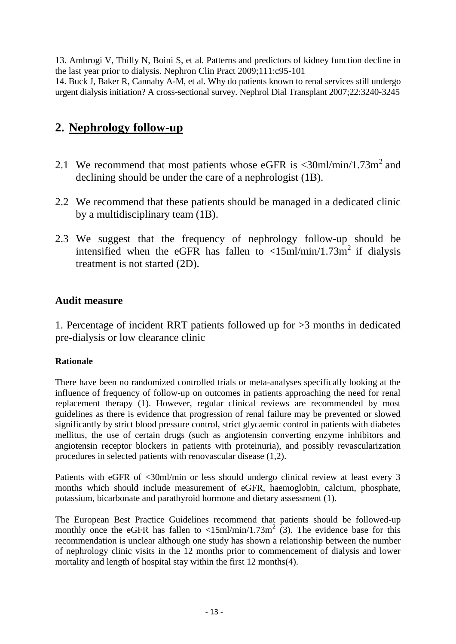13. Ambrogi V, Thilly N, Boini S, et al. Patterns and predictors of kidney function decline in the last year prior to dialysis. Nephron Clin Pract 2009;111:c95-101

14. Buck J, Baker R, Cannaby A-M, et al. Why do patients known to renal services still undergo urgent dialysis initiation? A cross-sectional survey. Nephrol Dial Transplant 2007;22:3240-3245

# **2. Nephrology follow-up**

- 2.1 We recommend that most patients whose eGFR is  $\langle 30 \text{ml/min}/1.73 \text{m}^2 \rangle$  and declining should be under the care of a nephrologist (1B).
- 2.2 We recommend that these patients should be managed in a dedicated clinic by a multidisciplinary team (1B).
- 2.3 We suggest that the frequency of nephrology follow-up should be intensified when the eGFR has fallen to  $\langle 15 \text{m} \times 10 \text{m} \times 10^{-1} \rangle$  if dialysis treatment is not started (2D).

### **Audit measure**

1. Percentage of incident RRT patients followed up for >3 months in dedicated pre-dialysis or low clearance clinic

### **Rationale**

There have been no randomized controlled trials or meta-analyses specifically looking at the influence of frequency of follow-up on outcomes in patients approaching the need for renal replacement therapy (1). However, regular clinical reviews are recommended by most guidelines as there is evidence that progression of renal failure may be prevented or slowed significantly by strict blood pressure control, strict glycaemic control in patients with diabetes mellitus, the use of certain drugs (such as angiotensin converting enzyme inhibitors and angiotensin receptor blockers in patients with proteinuria), and possibly revascularization procedures in selected patients with renovascular disease (1,2).

Patients with eGFR of <30ml/min or less should undergo clinical review at least every 3 months which should include measurement of eGFR, haemoglobin, calcium, phosphate, potassium, bicarbonate and parathyroid hormone and dietary assessment (1).

The European Best Practice Guidelines recommend that patients should be followed-up monthly once the eGFR has fallen to  $\langle 15 \text{ml/min}/1.73 \text{m}^2 \rangle$  (3). The evidence base for this recommendation is unclear although one study has shown a relationship between the number of nephrology clinic visits in the 12 months prior to commencement of dialysis and lower mortality and length of hospital stay within the first 12 months(4).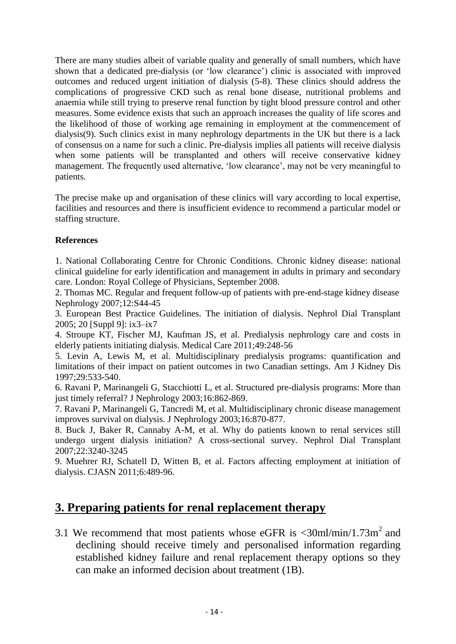There are many studies albeit of variable quality and generally of small numbers, which have shown that a dedicated pre-dialysis (or 'low clearance') clinic is associated with improved outcomes and reduced urgent initiation of dialysis (5-8). These clinics should address the complications of progressive CKD such as renal bone disease, nutritional problems and anaemia while still trying to preserve renal function by tight blood pressure control and other measures. Some evidence exists that such an approach increases the quality of life scores and the likelihood of those of working age remaining in employment at the commencement of dialysis(9). Such clinics exist in many nephrology departments in the UK but there is a lack of consensus on a name for such a clinic. Pre-dialysis implies all patients will receive dialysis when some patients will be transplanted and others will receive conservative kidney management. The frequently used alternative, 'low clearance', may not be very meaningful to patients.

The precise make up and organisation of these clinics will vary according to local expertise, facilities and resources and there is insufficient evidence to recommend a particular model or staffing structure.

#### **References**

1. National Collaborating Centre for Chronic Conditions. Chronic kidney disease: national clinical guideline for early identification and management in adults in primary and secondary care. London: Royal College of Physicians, September 2008.

2. Thomas MC. Regular and frequent follow-up of patients with pre-end-stage kidney disease Nephrology 2007;12:S44-45

3. European Best Practice Guidelines. The initiation of dialysis. Nephrol Dial Transplant 2005; 20 [Suppl 9]: ix3–ix7

4. Stroupe KT, Fischer MJ, Kaufman JS, et al. Predialysis nephrology care and costs in elderly patients initiating dialysis. Medical Care 2011;49:248-56

5. Levin A, Lewis M, et al. Multidisciplinary predialysis programs: quantification and limitations of their impact on patient outcomes in two Canadian settings. Am J Kidney Dis 1997;29:533-540.

6. Ravani P, Marinangeli G, Stacchiotti L, et al. Structured pre-dialysis programs: More than just timely referral? J Nephrology 2003;16:862-869.

7. Ravani P, Marinangeli G, Tancredi M, et al. Multidisciplinary chronic disease management improves survival on dialysis. J Nephrology 2003;16:870-877.

8. Buck J, Baker R, Cannaby A-M, et al. Why do patients known to renal services still undergo urgent dialysis initiation? A cross-sectional survey. Nephrol Dial Transplant 2007;22:3240-3245

9. Muehrer RJ, Schatell D, Witten B, et al. Factors affecting employment at initiation of dialysis. CJASN 2011;6:489-96.

# **3. Preparing patients for renal replacement therapy**

3.1 We recommend that most patients whose eGFR is  $\langle 30 \text{ml/min}/1.73 \text{m}^2 \rangle$  and declining should receive timely and personalised information regarding established kidney failure and renal replacement therapy options so they can make an informed decision about treatment (1B).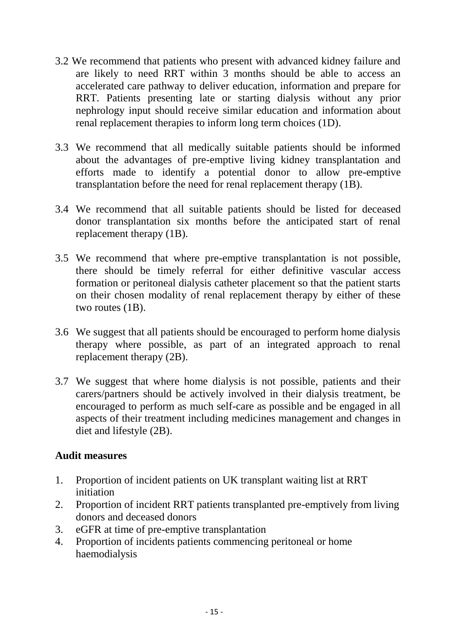- 3.2 We recommend that patients who present with advanced kidney failure and are likely to need RRT within 3 months should be able to access an accelerated care pathway to deliver education, information and prepare for RRT. Patients presenting late or starting dialysis without any prior nephrology input should receive similar education and information about renal replacement therapies to inform long term choices (1D).
- 3.3 We recommend that all medically suitable patients should be informed about the advantages of pre-emptive living kidney transplantation and efforts made to identify a potential donor to allow pre-emptive transplantation before the need for renal replacement therapy (1B).
- 3.4 We recommend that all suitable patients should be listed for deceased donor transplantation six months before the anticipated start of renal replacement therapy (1B).
- 3.5 We recommend that where pre-emptive transplantation is not possible, there should be timely referral for either definitive vascular access formation or peritoneal dialysis catheter placement so that the patient starts on their chosen modality of renal replacement therapy by either of these two routes (1B).
- 3.6 We suggest that all patients should be encouraged to perform home dialysis therapy where possible, as part of an integrated approach to renal replacement therapy (2B).
- 3.7 We suggest that where home dialysis is not possible, patients and their carers/partners should be actively involved in their dialysis treatment, be encouraged to perform as much self-care as possible and be engaged in all aspects of their treatment including medicines management and changes in diet and lifestyle (2B).

### **Audit measures**

- 1. Proportion of incident patients on UK transplant waiting list at RRT initiation
- 2. Proportion of incident RRT patients transplanted pre-emptively from living donors and deceased donors
- 3. eGFR at time of pre-emptive transplantation
- 4. Proportion of incidents patients commencing peritoneal or home haemodialysis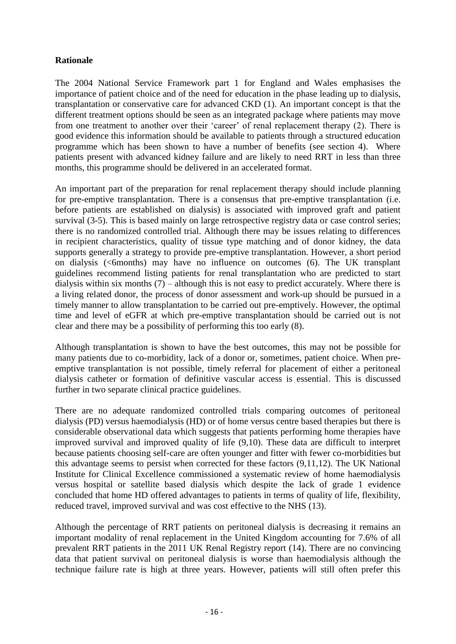#### **Rationale**

The 2004 National Service Framework part 1 for England and Wales emphasises the importance of patient choice and of the need for education in the phase leading up to dialysis, transplantation or conservative care for advanced CKD (1). An important concept is that the different treatment options should be seen as an integrated package where patients may move from one treatment to another over their 'career' of renal replacement therapy (2). There is good evidence this information should be available to patients through a structured education programme which has been shown to have a number of benefits (see section 4). Where patients present with advanced kidney failure and are likely to need RRT in less than three months, this programme should be delivered in an accelerated format.

An important part of the preparation for renal replacement therapy should include planning for pre-emptive transplantation. There is a consensus that pre-emptive transplantation (i.e. before patients are established on dialysis) is associated with improved graft and patient survival (3-5). This is based mainly on large retrospective registry data or case control series; there is no randomized controlled trial. Although there may be issues relating to differences in recipient characteristics, quality of tissue type matching and of donor kidney, the data supports generally a strategy to provide pre-emptive transplantation. However, a short period on dialysis (<6months) may have no influence on outcomes (6). The UK transplant guidelines recommend listing patients for renal transplantation who are predicted to start dialysis within six months (7) – although this is not easy to predict accurately. Where there is a living related donor, the process of donor assessment and work-up should be pursued in a timely manner to allow transplantation to be carried out pre-emptively. However, the optimal time and level of eGFR at which pre-emptive transplantation should be carried out is not clear and there may be a possibility of performing this too early (8).

Although transplantation is shown to have the best outcomes, this may not be possible for many patients due to co-morbidity, lack of a donor or, sometimes, patient choice. When preemptive transplantation is not possible, timely referral for placement of either a peritoneal dialysis catheter or formation of definitive vascular access is essential. This is discussed further in two separate clinical practice guidelines.

There are no adequate randomized controlled trials comparing outcomes of peritoneal dialysis (PD) versus haemodialysis (HD) or of home versus centre based therapies but there is considerable observational data which suggests that patients performing home therapies have improved survival and improved quality of life (9,10). These data are difficult to interpret because patients choosing self-care are often younger and fitter with fewer co-morbidities but this advantage seems to persist when corrected for these factors (9,11,12). The UK National Institute for Clinical Excellence commissioned a systematic review of home haemodialysis versus hospital or satellite based dialysis which despite the lack of grade 1 evidence concluded that home HD offered advantages to patients in terms of quality of life, flexibility, reduced travel, improved survival and was cost effective to the NHS (13).

Although the percentage of RRT patients on peritoneal dialysis is decreasing it remains an important modality of renal replacement in the United Kingdom accounting for 7.6% of all prevalent RRT patients in the 2011 UK Renal Registry report (14). There are no convincing data that patient survival on peritoneal dialysis is worse than haemodialysis although the technique failure rate is high at three years. However, patients will still often prefer this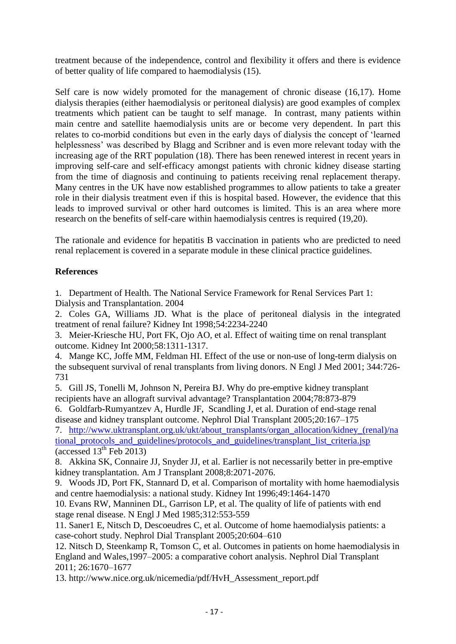treatment because of the independence, control and flexibility it offers and there is evidence of better quality of life compared to haemodialysis (15).

Self care is now widely promoted for the management of chronic disease (16,17). Home dialysis therapies (either haemodialysis or peritoneal dialysis) are good examples of complex treatments which patient can be taught to self manage. In contrast, many patients within main centre and satellite haemodialysis units are or become very dependent. In part this relates to co-morbid conditions but even in the early days of dialysis the concept of 'learned helplessness' was described by Blagg and Scribner and is even more relevant today with the increasing age of the RRT population (18). There has been renewed interest in recent years in improving self-care and self-efficacy amongst patients with chronic kidney disease starting from the time of diagnosis and continuing to patients receiving renal replacement therapy. Many centres in the UK have now established programmes to allow patients to take a greater role in their dialysis treatment even if this is hospital based. However, the evidence that this leads to improved survival or other hard outcomes is limited. This is an area where more research on the benefits of self-care within haemodialysis centres is required (19,20).

The rationale and evidence for hepatitis B vaccination in patients who are predicted to need renal replacement is covered in a separate module in these clinical practice guidelines.

#### **References**

1. Department of Health. The National Service Framework for Renal Services Part 1: Dialysis and Transplantation. 2004

2. Coles GA, Williams JD. What is the place of peritoneal dialysis in the integrated treatment of renal failure? Kidney Int 1998;54:2234-2240

3. [Meier-Kriesche HU, Port FK, Ojo AO, et al. Effect of waiting time on renal transplant](http://www.uptodate.com/online/content/abstract.do?topicKey=renltran/22005&refNum=7)  [outcome. Kidney Int 2000;58:1311-1317.](http://www.uptodate.com/online/content/abstract.do?topicKey=renltran/22005&refNum=7)

4. [Mange KC, Joffe MM, Feldman HI. Effect of the use or non-use of long-term dialysis on](http://www.uptodate.com/online/content/abstract.do?topicKey=renltran/22005&refNum=8)  [the subsequent survival of renal transplants from living donors. N Engl J Med 2001; 344:726-](http://www.uptodate.com/online/content/abstract.do?topicKey=renltran/22005&refNum=8) [731](http://www.uptodate.com/online/content/abstract.do?topicKey=renltran/22005&refNum=8)

5. [Gill JS, Tonelli M, Johnson N, Pereira BJ. Why do pre-emptive kidney transplant](http://www.uptodate.com/online/content/abstract.do?topicKey=renltran/22005&refNum=9)  [recipients have an allograft survival advantage? Transplantation 2004;78:873-879](http://www.uptodate.com/online/content/abstract.do?topicKey=renltran/22005&refNum=9)

6. Goldfarb-Rumyantzev A, Hurdle JF, Scandling J, et al. Duration of end-stage renal disease and kidney transplant outcome. Nephrol Dial Transplant 2005;20:167–175

7. [http://www.uktransplant.org.uk/ukt/about\\_transplants/organ\\_allocation/kidney\\_\(renal\)/na](http://www.uktransplant.org.uk/ukt/about_transplants/organ_allocation/kidney_(renal)/national_protocols_and_guidelines/protocols_and_guidelines/transplant_list_criteria.jsp) tional protocols and guidelines/protocols and guidelines/transplant list criteria.jsp  $(\text{accessed } 13^{\text{th}} \text{ Feb } 2013)$ 

8. Akkina SK, Connaire JJ, Snyder JJ, et al. Earlier is not necessarily better in pre-emptive kidney transplantation. Am J Transplant 2008;8:2071-2076.

9. Woods JD, Port FK, Stannard D, et al. Comparison of mortality with home haemodialysis and centre haemodialysis: a national study. Kidney Int 1996;49:1464-1470

10. Evans RW, Manninen DL, Garrison LP, et al. The quality of life of patients with end stage renal disease. N Engl J Med 1985;312:553-559

11. Saner1 E, Nitsch D, Descoeudres C, et al. Outcome of home haemodialysis patients: a case-cohort study. Nephrol Dial Transplant 2005;20:604–610

12. Nitsch D, Steenkamp R, Tomson C, et al. Outcomes in patients on home haemodialysis in England and Wales,1997–2005: a comparative cohort analysis. Nephrol Dial Transplant 2011; 26:1670–1677

13. [http://www.nice.org.uk/nicemedia/pdf/HvH\\_Assessment\\_report.pdf](http://www.nice.org.uk/nicemedia/pdf/HvH_Assessment_report.pdf)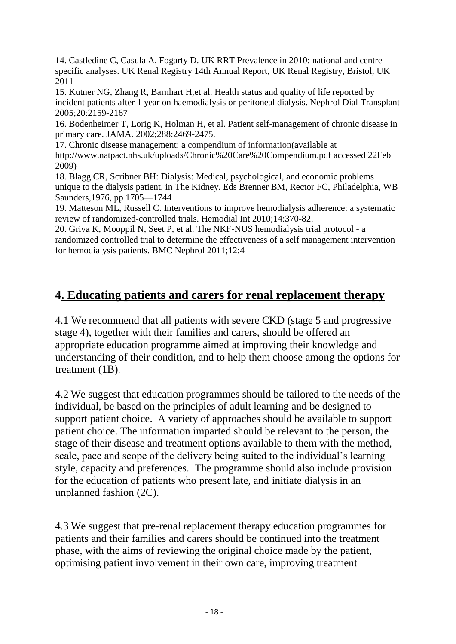14. Castledine C, Casula A, Fogarty D. UK RRT Prevalence in 2010: national and centrespecific analyses. UK Renal Registry 14th Annual Report, UK Renal Registry, Bristol, UK 2011

15. Kutner NG, Zhang R, Barnhart H,et al. Health status and quality of life reported by incident patients after 1 year on haemodialysis or peritoneal dialysis. Nephrol Dial Transplant 2005;20:2159-2167

16. Bodenheimer T, Lorig K, Holman H, et al. Patient self-management of chronic disease in primary care. JAMA*.* 2002;288:2469-2475.

17. Chronic disease management: a compendium of information(available at <http://www.natpact.nhs.uk/uploads/Chronic%20Care%20Compendium.pdf> accessed 22Feb 2009)

18. Blagg CR, Scribner BH: Dialysis: Medical, psychological, and economic problems unique to the dialysis patient, in The Kidney. Eds Brenner BM, Rector FC, Philadelphia, WB Saunders,1976, pp 1705—1744

19. [Matteson ML,](http://www.ncbi.nlm.nih.gov/pubmed?term=Matteson%20ML%5BAuthor%5D&cauthor=true&cauthor_uid=20796047) [Russell C.](http://www.ncbi.nlm.nih.gov/pubmed?term=Russell%20C%5BAuthor%5D&cauthor=true&cauthor_uid=20796047) Interventions to improve hemodialysis adherence: a systematic review of randomized-controlled trials. [Hemodial Int](http://www.ncbi.nlm.nih.gov/pubmed/20796047##) 2010;14:370-82.

20. [Griva K,](http://www.ncbi.nlm.nih.gov/pubmed?term=Griva%20K%5BAuthor%5D&cauthor=true&cauthor_uid=21272382) [Mooppil N,](http://www.ncbi.nlm.nih.gov/pubmed?term=Mooppil%20N%5BAuthor%5D&cauthor=true&cauthor_uid=21272382) [Seet P,](http://www.ncbi.nlm.nih.gov/pubmed?term=Seet%20P%5BAuthor%5D&cauthor=true&cauthor_uid=21272382) et al. The NKF-NUS hemodialysis trial protocol - a randomized controlled trial to determine the effectiveness of a self management intervention for hemodialysis patients. BMC Nephrol 2011;12:4

# **4. Educating patients and carers for renal replacement therapy**

4.1 We recommend that all patients with severe CKD (stage 5 and progressive stage 4), together with their families and carers, should be offered an appropriate education programme aimed at improving their knowledge and understanding of their condition, and to help them choose among the options for treatment (1B).

4.2 We suggest that education programmes should be tailored to the needs of the individual, be based on the principles of adult learning and be designed to support patient choice. A variety of approaches should be available to support patient choice. The information imparted should be relevant to the person, the stage of their disease and treatment options available to them with the method, scale, pace and scope of the delivery being suited to the individual's learning style, capacity and preferences. The programme should also include provision for the education of patients who present late, and initiate dialysis in an unplanned fashion (2C).

4.3 We suggest that pre-renal replacement therapy education programmes for patients and their families and carers should be continued into the treatment phase, with the aims of reviewing the original choice made by the patient, optimising patient involvement in their own care, improving treatment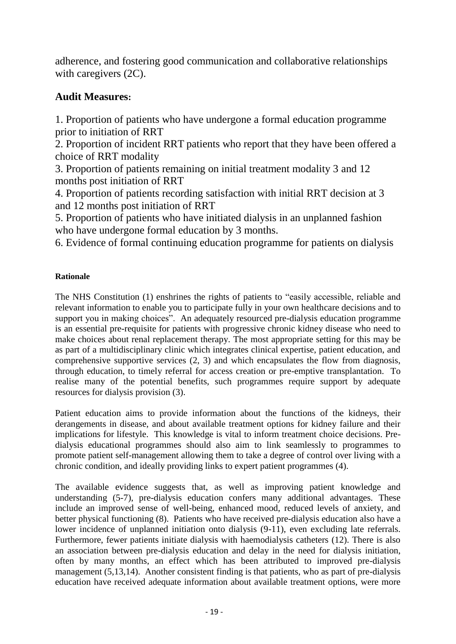adherence, and fostering good communication and collaborative relationships with caregivers (2C).

## **Audit Measures:**

1. Proportion of patients who have undergone a formal education programme prior to initiation of RRT

2. Proportion of incident RRT patients who report that they have been offered a choice of RRT modality

3. Proportion of patients remaining on initial treatment modality 3 and 12 months post initiation of RRT

4. Proportion of patients recording satisfaction with initial RRT decision at 3 and 12 months post initiation of RRT

5. Proportion of patients who have initiated dialysis in an unplanned fashion who have undergone formal education by 3 months.

6. Evidence of formal continuing education programme for patients on dialysis

### **Rationale**

The NHS Constitution (1) enshrines the rights of patients to "easily accessible, reliable and relevant information to enable you to participate fully in your own healthcare decisions and to support you in making choices". An adequately resourced pre-dialysis education programme is an essential pre-requisite for patients with progressive chronic kidney disease who need to make choices about renal replacement therapy. The most appropriate setting for this may be as part of a multidisciplinary clinic which integrates clinical expertise, patient education, and comprehensive supportive services (2, 3) and which encapsulates the flow from diagnosis, through education, to timely referral for access creation or pre-emptive transplantation. To realise many of the potential benefits, such programmes require support by adequate resources for dialysis provision (3).

Patient education aims to provide information about the functions of the kidneys, their derangements in disease, and about available treatment options for kidney failure and their implications for lifestyle. This knowledge is vital to inform treatment choice decisions. Predialysis educational programmes should also aim to link seamlessly to programmes to promote patient self-management allowing them to take a degree of control over living with a chronic condition, and ideally providing links to expert patient programmes (4).

The available evidence suggests that, as well as improving patient knowledge and understanding (5-7), pre-dialysis education confers many additional advantages. These include an improved sense of well-being, enhanced mood, reduced levels of anxiety, and better physical functioning (8). Patients who have received pre-dialysis education also have a lower incidence of unplanned initiation onto dialysis (9-11), even excluding late referrals. Furthermore, fewer patients initiate dialysis with haemodialysis catheters (12). There is also an association between pre-dialysis education and delay in the need for dialysis initiation, often by many months, an effect which has been attributed to improved pre-dialysis management (5,13,14). Another consistent finding is that patients, who as part of pre-dialysis education have received adequate information about available treatment options, were more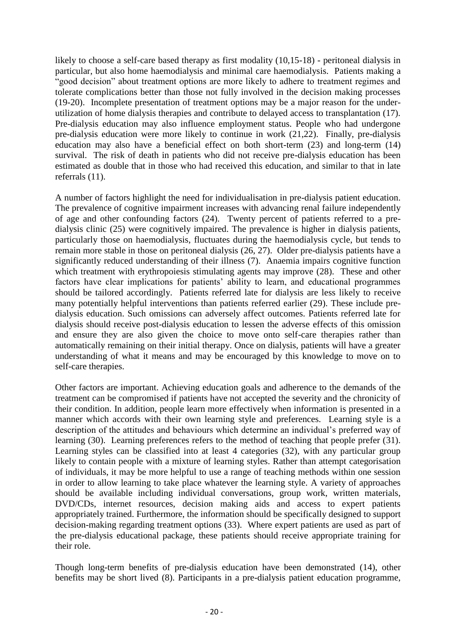likely to choose a self-care based therapy as first modality (10,15-18) - peritoneal dialysis in particular, but also home haemodialysis and minimal care haemodialysis. Patients making a "good decision" about treatment options are more likely to adhere to treatment regimes and tolerate complications better than those not fully involved in the decision making processes (19-20). Incomplete presentation of treatment options may be a major reason for the underutilization of home dialysis therapies and contribute to delayed access to transplantation (17). Pre-dialysis education may also influence employment status. People who had undergone pre-dialysis education were more likely to continue in work (21,22). Finally, pre-dialysis education may also have a beneficial effect on both short-term (23) and long-term (14) survival. The risk of death in patients who did not receive pre-dialysis education has been estimated as double that in those who had received this education, and similar to that in late referrals (11).

A number of factors highlight the need for individualisation in pre-dialysis patient education. The prevalence of cognitive impairment increases with advancing renal failure independently of age and other confounding factors (24). Twenty percent of patients referred to a predialysis clinic (25) were cognitively impaired. The prevalence is higher in dialysis patients, particularly those on haemodialysis, fluctuates during the haemodialysis cycle, but tends to remain more stable in those on peritoneal dialysis (26, 27). Older pre-dialysis patients have a significantly reduced understanding of their illness (7). Anaemia impairs cognitive function which treatment with erythropoiesis stimulating agents may improve  $(28)$ . These and other factors have clear implications for patients' ability to learn, and educational programmes should be tailored accordingly. Patients referred late for dialysis are less likely to receive many potentially helpful interventions than patients referred earlier (29). These include predialysis education. Such omissions can adversely affect outcomes. Patients referred late for dialysis should receive post-dialysis education to lessen the adverse effects of this omission and ensure they are also given the choice to move onto self-care therapies rather than automatically remaining on their initial therapy. Once on dialysis, patients will have a greater understanding of what it means and may be encouraged by this knowledge to move on to self-care therapies.

Other factors are important. Achieving education goals and adherence to the demands of the treatment can be compromised if patients have not accepted the severity and the chronicity of their condition. In addition, people learn more effectively when information is presented in a manner which accords with their own learning style and preferences. Learning style is a description of the attitudes and behaviours which determine an individual's preferred way of learning (30). Learning preferences refers to the method of teaching that people prefer (31). Learning styles can be classified into at least 4 categories (32), with any particular group likely to contain people with a mixture of learning styles. Rather than attempt categorisation of individuals, it may be more helpful to use a range of teaching methods within one session in order to allow learning to take place whatever the learning style. A variety of approaches should be available including individual conversations, group work, written materials, DVD/CDs, internet resources, decision making aids and access to expert patients appropriately trained. Furthermore, the information should be specifically designed to support decision-making regarding treatment options (33). Where expert patients are used as part of the pre-dialysis educational package, these patients should receive appropriate training for their role.

Though long-term benefits of pre-dialysis education have been demonstrated (14), other benefits may be short lived (8). Participants in a pre-dialysis patient education programme,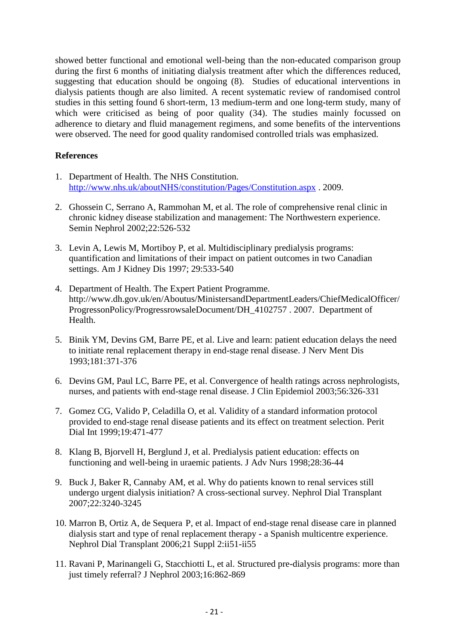showed better functional and emotional well-being than the non-educated comparison group during the first 6 months of initiating dialysis treatment after which the differences reduced, suggesting that education should be ongoing (8). Studies of educational interventions in dialysis patients though are also limited. A recent systematic review of randomised control studies in this setting found 6 short-term, 13 medium-term and one long-term study, many of which were criticised as being of poor quality (34). The studies mainly focussed on adherence to dietary and fluid management regimens, and some benefits of the interventions were observed. The need for good quality randomised controlled trials was emphasized.

#### **References**

- 1. Department of Health. The NHS Constitution. <http://www.nhs.uk/aboutNHS/constitution/Pages/Constitution.aspx> . 2009.
- 2. Ghossein C, Serrano A, Rammohan M, et al. The role of comprehensive renal clinic in chronic kidney disease stabilization and management: The Northwestern experience. Semin Nephrol 2002;22:526-532
- 3. Levin A, Lewis M, Mortiboy P, et al. Multidisciplinary predialysis programs: quantification and limitations of their impact on patient outcomes in two Canadian settings. Am J Kidney Dis 1997; 29:533-540
- 4. Department of Health. The Expert Patient Programme. [http://www.dh.gov.uk/en/Aboutus/MinistersandDepartmentLeaders/ChiefMedicalOfficer/](http://www.dh.gov.uk/en/Aboutus/MinistersandDepartmentLeaders/ChiefMedicalOfficer/ProgressonPolicy/ProgressrowsaleDocument/DH_4102757) [ProgressonPolicy/ProgressrowsaleDocument/DH\\_4102757](http://www.dh.gov.uk/en/Aboutus/MinistersandDepartmentLeaders/ChiefMedicalOfficer/ProgressonPolicy/ProgressrowsaleDocument/DH_4102757) . 2007. Department of Health.
- 5. Binik YM, Devins GM, Barre PE, et al. Live and learn: patient education delays the need to initiate renal replacement therapy in end-stage renal disease. J Nerv Ment Dis 1993;181:371-376
- 6. Devins GM, Paul LC, Barre PE, et al. Convergence of health ratings across nephrologists, nurses, and patients with end-stage renal disease. J Clin Epidemiol 2003;56:326-331
- 7. Gomez CG, Valido P, Celadilla O, et al. Validity of a standard information protocol provided to end-stage renal disease patients and its effect on treatment selection. Perit Dial Int 1999;19:471-477
- 8. Klang B, Bjorvell H, Berglund J, et al. Predialysis patient education: effects on functioning and well-being in uraemic patients. J Adv Nurs 1998;28:36-44
- 9. Buck J, Baker R, Cannaby AM, et al. Why do patients known to renal services still undergo urgent dialysis initiation? A cross-sectional survey. Nephrol Dial Transplant 2007;22:3240-3245
- 10. Marron B, Ortiz A, de Sequera P, et al. Impact of end-stage renal disease care in planned dialysis start and type of renal replacement therapy - a Spanish multicentre experience. Nephrol Dial Transplant 2006;21 Suppl 2:ii51-ii55
- 11. Ravani P, Marinangeli G, Stacchiotti L, et al. Structured pre-dialysis programs: more than just timely referral? J Nephrol 2003;16:862-869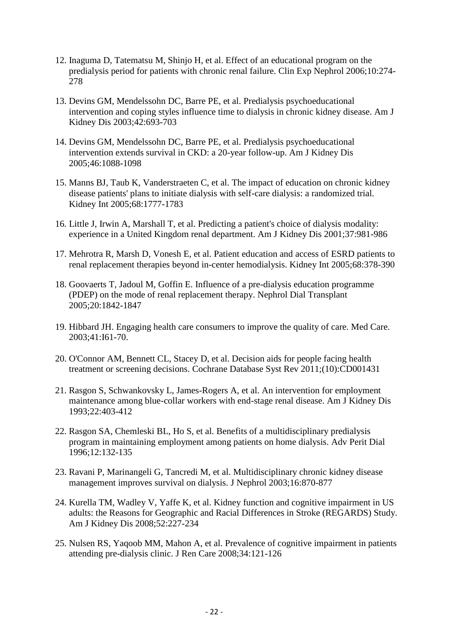- 12. Inaguma D, Tatematsu M, Shinjo H, et al. Effect of an educational program on the predialysis period for patients with chronic renal failure. Clin Exp Nephrol 2006;10:274- 278
- 13. Devins GM, Mendelssohn DC, Barre PE, et al. Predialysis psychoeducational intervention and coping styles influence time to dialysis in chronic kidney disease. Am J Kidney Dis 2003;42:693-703
- 14. Devins GM, Mendelssohn DC, Barre PE, et al. Predialysis psychoeducational intervention extends survival in CKD: a 20-year follow-up. Am J Kidney Dis 2005;46:1088-1098
- 15. Manns BJ, Taub K, Vanderstraeten C, et al. The impact of education on chronic kidney disease patients' plans to initiate dialysis with self-care dialysis: a randomized trial. Kidney Int 2005;68:1777-1783
- 16. Little J, Irwin A, Marshall T, et al. Predicting a patient's choice of dialysis modality: experience in a United Kingdom renal department. Am J Kidney Dis 2001;37:981-986
- 17. Mehrotra R, Marsh D, Vonesh E, et al. Patient education and access of ESRD patients to renal replacement therapies beyond in-center hemodialysis. Kidney Int 2005;68:378-390
- 18. Goovaerts T, Jadoul M, Goffin E. Influence of a pre-dialysis education programme (PDEP) on the mode of renal replacement therapy. Nephrol Dial Transplant 2005;20:1842-1847
- 19. [Hibbard JH.](https://remote.uhl-tr.nhs.uk/,DanaInfo=www.ncbi.nlm.nih.gov+pubmed?term=Hibbard%20JH%5BAuthor%5D&cauthor=true&cauthor_uid=12544817) Engaging health care consumers to improve the quality of care. Med Care. 2003;41:I61-70.
- 20. [O'Connor AM,](https://remote.uhl-tr.nhs.uk/,DanaInfo=www.ncbi.nlm.nih.gov+pubmed?term=O) [Bennett CL,](https://remote.uhl-tr.nhs.uk/,DanaInfo=www.ncbi.nlm.nih.gov+pubmed?term=Bennett%20CL%5BAuthor%5D&cauthor=true&cauthor_uid=19588325) [Stacey D,](https://remote.uhl-tr.nhs.uk/,DanaInfo=www.ncbi.nlm.nih.gov+pubmed?term=Stacey%20D%5BAuthor%5D&cauthor=true&cauthor_uid=19588325) et al. Decision aids for people facing health treatment or screening decisions. [Cochrane Database Syst Rev 2011;\(10\):CD001431](https://remote.uhl-tr.nhs.uk/pubmed/,DanaInfo=www.ncbi.nlm.nih.gov+21975733)
- 21. Rasgon S, Schwankovsky L, James-Rogers A, et al. An intervention for employment maintenance among blue-collar workers with end-stage renal disease. Am J Kidney Dis 1993;22:403-412
- 22. Rasgon SA, Chemleski BL, Ho S, et al. Benefits of a multidisciplinary predialysis program in maintaining employment among patients on home dialysis. Adv Perit Dial 1996;12:132-135
- 23. Ravani P, Marinangeli G, Tancredi M, et al. Multidisciplinary chronic kidney disease management improves survival on dialysis. J Nephrol 2003;16:870-877
- 24. Kurella TM, Wadley V, Yaffe K, et al. Kidney function and cognitive impairment in US adults: the Reasons for Geographic and Racial Differences in Stroke (REGARDS) Study. Am J Kidney Dis 2008;52:227-234
- 25. Nulsen RS, Yaqoob MM, Mahon A, et al. Prevalence of cognitive impairment in patients attending pre-dialysis clinic. J Ren Care 2008;34:121-126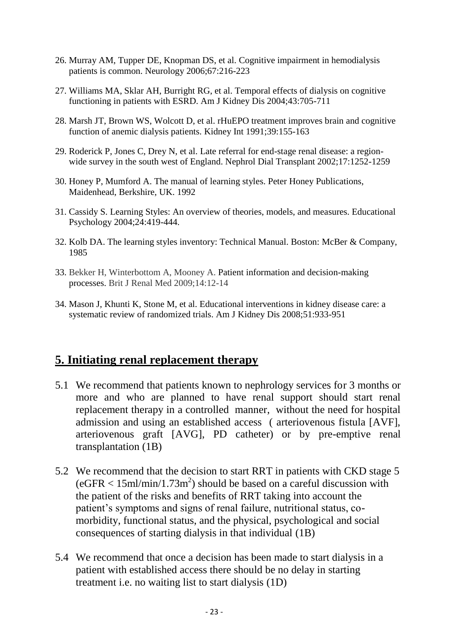- 26. Murray AM, Tupper DE, Knopman DS, et al. Cognitive impairment in hemodialysis patients is common. Neurology 2006;67:216-223
- 27. Williams MA, Sklar AH, Burright RG, et al. Temporal effects of dialysis on cognitive functioning in patients with ESRD. Am J Kidney Dis 2004;43:705-711
- 28. Marsh JT, Brown WS, Wolcott D, et al. rHuEPO treatment improves brain and cognitive function of anemic dialysis patients. Kidney Int 1991;39:155-163
- 29. Roderick P, Jones C, Drey N, et al. Late referral for end-stage renal disease: a regionwide survey in the south west of England. Nephrol Dial Transplant 2002;17:1252-1259
- 30. Honey P, Mumford A. The manual of learning styles. Peter Honey Publications, Maidenhead, Berkshire, UK. 1992
- 31. Cassidy S. Learning Styles: An overview of theories, models, and measures. Educational Psychology 2004;24:419-444.
- 32. Kolb DA. The learning styles inventory: Technical Manual. Boston: McBer & Company, 1985
- 33. Bekker H, Winterbottom A, Mooney A. [Patient information and decision-making](http://www.bjrm.co.uk/showPDF.aspx?index=2&edit=106&st=11&nd=13&sw=&ef=&alw=&aid=363)  [processes.](http://www.bjrm.co.uk/showPDF.aspx?index=2&edit=106&st=11&nd=13&sw=&ef=&alw=&aid=363) Brit J Renal Med 2009;14:12-14
- 34. Mason J, Khunti K, Stone M, et al. Educational interventions in kidney disease care: a systematic review of randomized trials. Am J Kidney Dis 2008;51:933-951

# **5. Initiating renal replacement therapy**

- 5.1 We recommend that patients known to nephrology services for 3 months or more and who are planned to have renal support should start renal replacement therapy in a controlled manner, without the need for hospital admission and using an established access ( arteriovenous fistula [AVF], arteriovenous graft [AVG], PD catheter) or by pre-emptive renal transplantation (1B)
- 5.2 We recommend that the decision to start RRT in patients with CKD stage 5  $(eGFR < 15$ ml/min/1.73m<sup>2</sup>) should be based on a careful discussion with the patient of the risks and benefits of RRT taking into account the patient's symptoms and signs of renal failure, nutritional status, comorbidity, functional status, and the physical, psychological and social consequences of starting dialysis in that individual (1B)
- 5.4 We recommend that once a decision has been made to start dialysis in a patient with established access there should be no delay in starting treatment i.e. no waiting list to start dialysis (1D)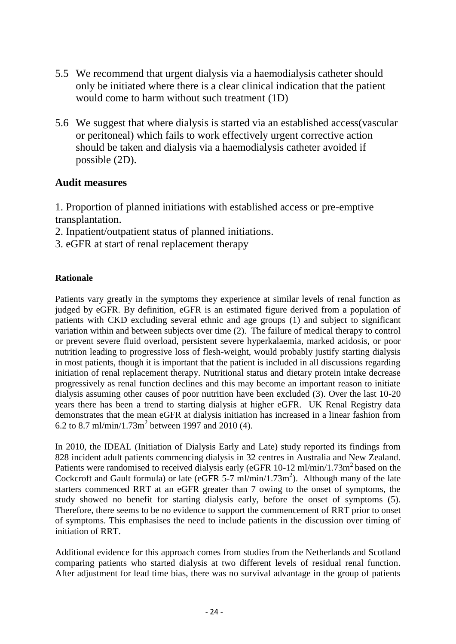- 5.5 We recommend that urgent dialysis via a haemodialysis catheter should only be initiated where there is a clear clinical indication that the patient would come to harm without such treatment (1D)
- 5.6 We suggest that where dialysis is started via an established access(vascular or peritoneal) which fails to work effectively urgent corrective action should be taken and dialysis via a haemodialysis catheter avoided if possible (2D).

### **Audit measures**

1. Proportion of planned initiations with established access or pre-emptive transplantation.

- 2. Inpatient/outpatient status of planned initiations.
- 3. eGFR at start of renal replacement therapy

#### **Rationale**

Patients vary greatly in the symptoms they experience at similar levels of renal function as judged by eGFR. By definition, eGFR is an estimated figure derived from a population of patients with CKD excluding several ethnic and age groups (1) and subject to significant variation within and between subjects over time (2). The failure of medical therapy to control or prevent severe fluid overload, persistent severe hyperkalaemia, marked acidosis, or poor nutrition leading to progressive loss of flesh-weight, would probably justify starting dialysis in most patients, though it is important that the patient is included in all discussions regarding initiation of renal replacement therapy. Nutritional status and dietary protein intake decrease progressively as renal function declines and this may become an important reason to initiate dialysis assuming other causes of poor nutrition have been excluded (3). Over the last 10-20 years there has been a trend to starting dialysis at higher eGFR. UK Renal Registry data demonstrates that the mean eGFR at dialysis initiation has increased in a linear fashion from 6.2 to 8.7 ml/min/1.73m<sup>2</sup> between 1997 and 2010 (4).

In 2010, the IDEAL (Initiation of Dialysis Early and Late) study reported its findings from 828 incident adult patients commencing dialysis in 32 centres in Australia and New Zealand. Patients were randomised to received dialysis early (eGFR 10-12 ml/min/1.73m<sup>2</sup> based on the Cockcroft and Gault formula) or late ( $eGFR$  5-7 ml/min/1.73m<sup>2</sup>). Although many of the late starters commenced RRT at an eGFR greater than 7 owing to the onset of symptoms, the study showed no benefit for starting dialysis early, before the onset of symptoms (5). Therefore, there seems to be no evidence to support the commencement of RRT prior to onset of symptoms. This emphasises the need to include patients in the discussion over timing of initiation of RRT.

Additional evidence for this approach comes from studies from the Netherlands and Scotland comparing patients who started dialysis at two different levels of residual renal function. After adjustment for lead time bias, there was no survival advantage in the group of patients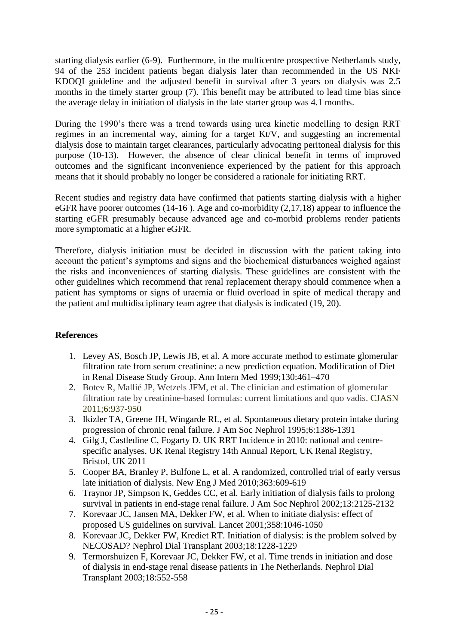starting dialysis earlier (6-9). Furthermore, in the multicentre prospective Netherlands study, 94 of the 253 incident patients began dialysis later than recommended in the US NKF KDOQI guideline and the adjusted benefit in survival after 3 years on dialysis was 2.5 months in the timely starter group (7). This benefit may be attributed to lead time bias since the average delay in initiation of dialysis in the late starter group was 4.1 months.

During the 1990's there was a trend towards using urea kinetic modelling to design RRT regimes in an incremental way, aiming for a target Kt/V, and suggesting an incremental dialysis dose to maintain target clearances, particularly advocating peritoneal dialysis for this purpose (10-13). However, the absence of clear clinical benefit in terms of improved outcomes and the significant inconvenience experienced by the patient for this approach means that it should probably no longer be considered a rationale for initiating RRT.

Recent studies and registry data have confirmed that patients starting dialysis with a higher eGFR have poorer outcomes (14-16 ). Age and co-morbidity (2,17,18) appear to influence the starting eGFR presumably because advanced age and co-morbid problems render patients more symptomatic at a higher eGFR.

Therefore, dialysis initiation must be decided in discussion with the patient taking into account the patient's symptoms and signs and the biochemical disturbances weighed against the risks and inconveniences of starting dialysis. These guidelines are consistent with the other guidelines which recommend that renal replacement therapy should commence when a patient has symptoms or signs of uraemia or fluid overload in spite of medical therapy and the patient and multidisciplinary team agree that dialysis is indicated (19, 20).

### **References**

- 1. Levey AS, Bosch JP, Lewis JB, et al. A more accurate method to estimate glomerular filtration rate from serum creatinine: a new prediction equation. Modification of Diet in Renal Disease Study Group. Ann Intern Med 1999;130:461–470
- 2. [Botev](http://cjasn.asnjournals.org/search?author1=Rossini+Botev&sortspec=date&submit=Submit) R, [Mallié](http://cjasn.asnjournals.org/search?author1=Jean-Pierre+Malli%C3%A9&sortspec=date&submit=Submit) JP, Wetzels JFM, et al. The clinician and estimation of glomerular filtration rate by creatinine-based formulas: current limitations and quo vadis. CJASN 2011;6:937-950
- 3. Ikizler TA, Greene JH, Wingarde RL, et al. Spontaneous dietary protein intake during progression of chronic renal failure. J Am Soc Nephrol 1995;6:1386-1391
- 4. Gilg J, Castledine C, Fogarty D. UK RRT Incidence in 2010: national and centrespecific analyses. UK Renal Registry 14th Annual Report, UK Renal Registry, Bristol, UK 2011
- 5. Cooper BA, Branley P, Bulfone L, et al. A randomized, controlled trial of early versus late initiation of dialysis. New Eng J Med 2010;363:609-619
- 6. Traynor JP, Simpson K, Geddes CC, et al. Early initiation of dialysis fails to prolong survival in patients in end-stage renal failure. J Am Soc Nephrol 2002;13:2125-2132
- 7. Korevaar JC, Jansen MA, Dekker FW, et al. When to initiate dialysis: effect of proposed US guidelines on survival. Lancet 2001;358:1046-1050
- 8. Korevaar JC, Dekker FW, Krediet RT. Initiation of dialysis: is the problem solved by NECOSAD? Nephrol Dial Transplant 2003;18:1228-1229
- 9. Termorshuizen F, Korevaar JC, Dekker FW, et al. Time trends in initiation and dose of dialysis in end-stage renal disease patients in The Netherlands. Nephrol Dial Transplant 2003;18:552-558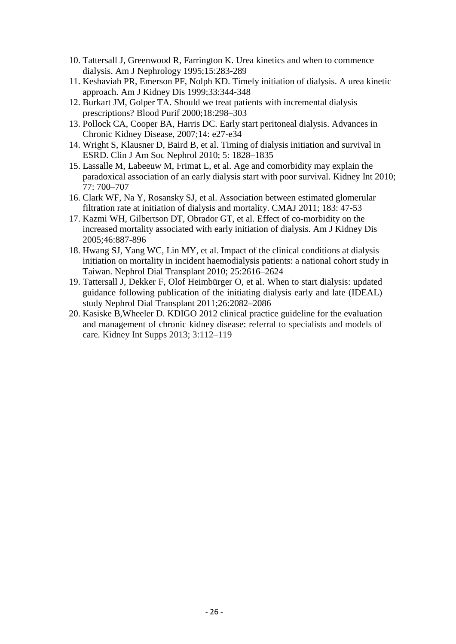- 10. Tattersall J, Greenwood R, Farrington K. Urea kinetics and when to commence dialysis. Am J Nephrology 1995;15:283-289
- 11. Keshaviah PR, Emerson PF, Nolph KD. Timely initiation of dialysis. A urea kinetic approach. Am J Kidney Dis 1999;33:344-348
- 12. Burkart JM, Golper TA. Should we treat patients with incremental dialysis prescriptions? Blood Purif 2000;18:298–303
- 13. Pollock CA, Cooper BA, Harris DC. Early start peritoneal dialysis. Advances in Chronic Kidney Disease, 2007;14: e27-e34
- 14. Wright S, Klausner D, Baird B, et al. Timing of dialysis initiation and survival in ESRD. Clin J Am Soc Nephrol 2010; 5: 1828–1835
- 15. Lassalle M, Labeeuw M, Frimat L, et al. Age and comorbidity may explain the paradoxical association of an early dialysis start with poor survival. Kidney Int 2010; 77: 700–707
- 16. Clark WF, Na Y, Rosansky SJ, et al. Association between estimated glomerular filtration rate at initiation of dialysis and mortality. CMAJ 2011; 183: 47-53
- 17. Kazmi WH, Gilbertson DT, Obrador GT, et al. Effect of co-morbidity on the increased mortality associated with early initiation of dialysis. Am J Kidney Dis 2005;46:887-896
- 18. Hwang SJ, Yang WC, Lin MY, et al. Impact of the clinical conditions at dialysis initiation on mortality in incident haemodialysis patients: a national cohort study in Taiwan. Nephrol Dial Transplant 2010; 25:2616–2624
- 19. Tattersall J, Dekker F, Olof Heimbürger O, et al. When to start dialysis: updated guidance following publication of the initiating dialysis early and late (IDEAL) study Nephrol Dial Transplant 2011;26:2082–2086
- 20. Kasiske B,Wheeler D. KDIGO 2012 clinical practice guideline for the evaluation and management of chronic kidney disease: referral to specialists and models of care. Kidney Int Supps 2013; 3:112–119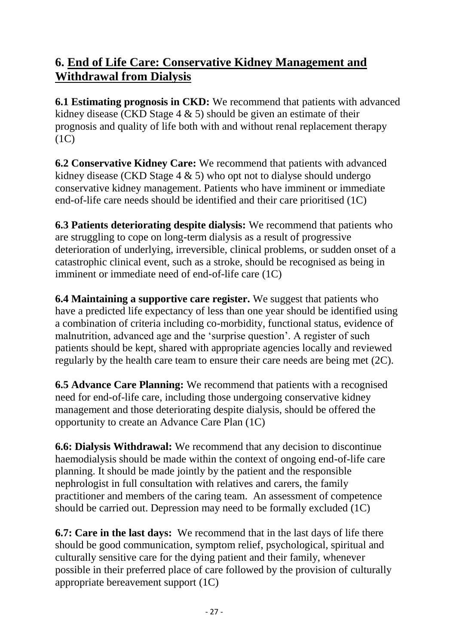# **6. End of Life Care: Conservative Kidney Management and Withdrawal from Dialysis**

**6.1 Estimating prognosis in CKD:** We recommend that patients with advanced kidney disease (CKD Stage 4 & 5) should be given an estimate of their prognosis and quality of life both with and without renal replacement therapy  $(1C)$ 

**6.2 Conservative Kidney Care:** We recommend that patients with advanced kidney disease (CKD Stage  $4 \& 5$ ) who opt not to dialyse should undergo conservative kidney management. Patients who have imminent or immediate end-of-life care needs should be identified and their care prioritised (1C)

**6.3 Patients deteriorating despite dialysis:** We recommend that patients who are struggling to cope on long-term dialysis as a result of progressive deterioration of underlying, irreversible, clinical problems, or sudden onset of a catastrophic clinical event, such as a stroke, should be recognised as being in imminent or immediate need of end-of-life care (1C)

**6.4 Maintaining a supportive care register.** We suggest that patients who have a predicted life expectancy of less than one year should be identified using a combination of criteria including co-morbidity, functional status, evidence of malnutrition, advanced age and the 'surprise question'. A register of such patients should be kept, shared with appropriate agencies locally and reviewed regularly by the health care team to ensure their care needs are being met (2C).

**6.5 Advance Care Planning:** We recommend that patients with a recognised need for end-of-life care, including those undergoing conservative kidney management and those deteriorating despite dialysis, should be offered the opportunity to create an Advance Care Plan (1C)

**6.6: Dialysis Withdrawal:** We recommend that any decision to discontinue haemodialysis should be made within the context of ongoing end-of-life care planning. It should be made jointly by the patient and the responsible nephrologist in full consultation with relatives and carers, the family practitioner and members of the caring team. An assessment of competence should be carried out. Depression may need to be formally excluded (1C)

**6.7: Care in the last days:** We recommend that in the last days of life there should be good communication, symptom relief, psychological, spiritual and culturally sensitive care for the dying patient and their family, whenever possible in their preferred place of care followed by the provision of culturally appropriate bereavement support (1C)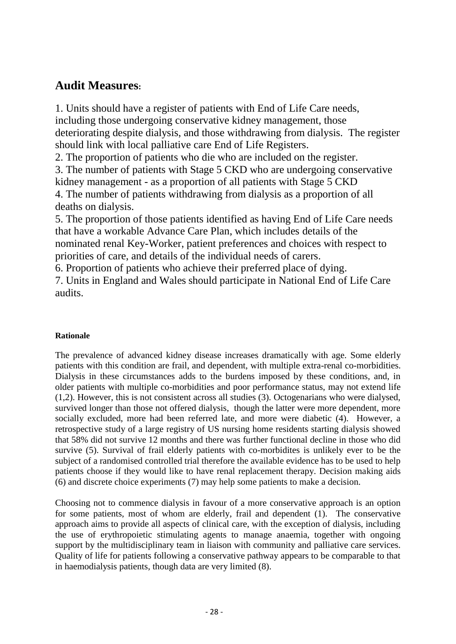# **Audit Measures:**

1. Units should have a register of patients with End of Life Care needs, including those undergoing conservative kidney management, those deteriorating despite dialysis, and those withdrawing from dialysis. The register should link with local palliative care End of Life Registers.

2. The proportion of patients who die who are included on the register.

3. The number of patients with Stage 5 CKD who are undergoing conservative kidney management - as a proportion of all patients with Stage 5 CKD 4. The number of patients withdrawing from dialysis as a proportion of all deaths on dialysis.

5. The proportion of those patients identified as having End of Life Care needs that have a workable Advance Care Plan, which includes details of the nominated renal Key-Worker, patient preferences and choices with respect to priorities of care, and details of the individual needs of carers.

6. Proportion of patients who achieve their preferred place of dying.

7. Units in England and Wales should participate in National End of Life Care audits.

### **Rationale**

The prevalence of advanced kidney disease increases dramatically with age. Some elderly patients with this condition are frail, and dependent, with multiple extra-renal co-morbidities. Dialysis in these circumstances adds to the burdens imposed by these conditions, and, in older patients with multiple co-morbidities and poor performance status, may not extend life (1,2). However, this is not consistent across all studies (3). Octogenarians who were dialysed, survived longer than those not offered dialysis, though the latter were more dependent, more socially excluded, more had been referred late, and more were diabetic (4). However, a retrospective study of a large registry of US nursing home residents starting dialysis showed that 58% did not survive 12 months and there was further functional decline in those who did survive (5). Survival of frail elderly patients with co-morbidites is unlikely ever to be the subject of a randomised controlled trial therefore the available evidence has to be used to help patients choose if they would like to have renal replacement therapy. Decision making aids (6) and discrete choice experiments (7) may help some patients to make a decision.

Choosing not to commence dialysis in favour of a more conservative approach is an option for some patients, most of whom are elderly, frail and dependent (1). The conservative approach aims to provide all aspects of clinical care, with the exception of dialysis, including the use of erythropoietic stimulating agents to manage anaemia, together with ongoing support by the multidisciplinary team in liaison with community and palliative care services. Quality of life for patients following a conservative pathway appears to be comparable to that in haemodialysis patients, though data are very limited (8).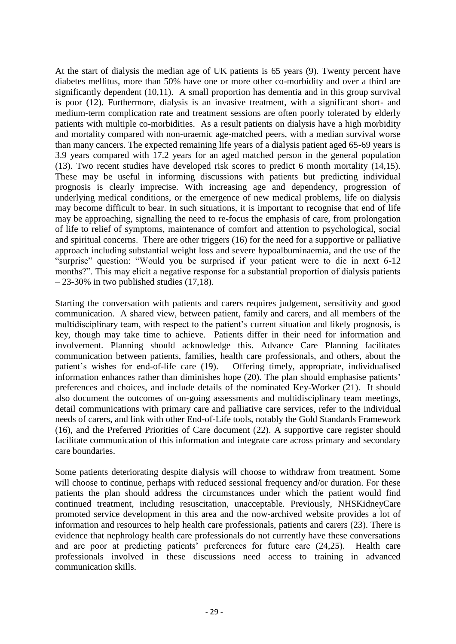At the start of dialysis the median age of UK patients is 65 years (9). Twenty percent have diabetes mellitus, more than 50% have one or more other co-morbidity and over a third are significantly dependent (10,11). A small proportion has dementia and in this group survival is poor (12). Furthermore, dialysis is an invasive treatment, with a significant short- and medium-term complication rate and treatment sessions are often poorly tolerated by elderly patients with multiple co-morbidities. As a result patients on dialysis have a high morbidity and mortality compared with non-uraemic age-matched peers, with a median survival worse than many cancers. The expected remaining life years of a dialysis patient aged 65-69 years is 3.9 years compared with 17.2 years for an aged matched person in the general population (13). Two recent studies have developed risk scores to predict 6 month mortality (14,15). These may be useful in informing discussions with patients but predicting individual prognosis is clearly imprecise. With increasing age and dependency, progression of underlying medical conditions, or the emergence of new medical problems, life on dialysis may become difficult to bear. In such situations, it is important to recognise that end of life may be approaching, signalling the need to re-focus the emphasis of care, from prolongation of life to relief of symptoms, maintenance of comfort and attention to psychological, social and spiritual concerns. There are other triggers (16) for the need for a supportive or palliative approach including substantial weight loss and severe hypoalbuminaemia, and the use of the "surprise" question: "Would you be surprised if your patient were to die in next 6-12 months?". This may elicit a negative response for a substantial proportion of dialysis patients  $-23-30\%$  in two published studies (17,18).

Starting the conversation with patients and carers requires judgement, sensitivity and good communication. A shared view, between patient, family and carers, and all members of the multidisciplinary team, with respect to the patient's current situation and likely prognosis, is key, though may take time to achieve. Patients differ in their need for information and involvement. Planning should acknowledge this. Advance Care Planning facilitates communication between patients, families, health care professionals, and others, about the patient's wishes for end-of-life care (19). Offering timely, appropriate, individualised information enhances rather than diminishes hope (20). The plan should emphasise patients' preferences and choices, and include details of the nominated Key-Worker (21). It should also document the outcomes of on-going assessments and multidisciplinary team meetings, detail communications with primary care and palliative care services, refer to the individual needs of carers, and link with other End-of-Life tools, notably the Gold Standards Framework (16), and the Preferred Priorities of Care document (22). A supportive care register should facilitate communication of this information and integrate care across primary and secondary care boundaries.

Some patients deteriorating despite dialysis will choose to withdraw from treatment. Some will choose to continue, perhaps with reduced sessional frequency and/or duration. For these patients the plan should address the circumstances under which the patient would find continued treatment, including resuscitation, unacceptable. Previously, NHSKidneyCare promoted service development in this area and the now-archived website provides a lot of information and resources to help health care professionals, patients and carers (23). There is evidence that nephrology health care professionals do not currently have these conversations and are poor at predicting patients' preferences for future care (24,25). Health care professionals involved in these discussions need access to training in advanced communication skills.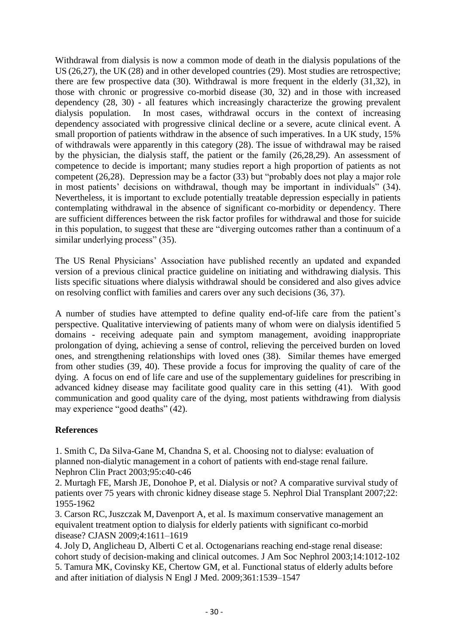Withdrawal from dialysis is now a common mode of death in the dialysis populations of the US (26,27), the UK (28) and in other developed countries (29). Most studies are retrospective; there are few prospective data (30). Withdrawal is more frequent in the elderly (31,32), in those with chronic or progressive co-morbid disease (30, 32) and in those with increased dependency (28, 30) - all features which increasingly characterize the growing prevalent dialysis population. In most cases, withdrawal occurs in the context of increasing dependency associated with progressive clinical decline or a severe, acute clinical event. A small proportion of patients withdraw in the absence of such imperatives. In a UK study, 15% of withdrawals were apparently in this category (28). The issue of withdrawal may be raised by the physician, the dialysis staff, the patient or the family (26,28,29). An assessment of competence to decide is important; many studies report a high proportion of patients as not competent  $(26,28)$ . Depression may be a factor  $(33)$  but "probably does not play a major role in most patients' decisions on withdrawal, though may be important in individuals" (34). Nevertheless, it is important to exclude potentially treatable depression especially in patients contemplating withdrawal in the absence of significant co-morbidity or dependency. There are sufficient differences between the risk factor profiles for withdrawal and those for suicide in this population, to suggest that these are "diverging outcomes rather than a continuum of a similar underlying process" (35).

The US Renal Physicians' Association have published recently an updated and expanded version of a previous clinical practice guideline on initiating and withdrawing dialysis. This lists specific situations where dialysis withdrawal should be considered and also gives advice on resolving conflict with families and carers over any such decisions (36, 37).

A number of studies have attempted to define quality end-of-life care from the patient's perspective. Qualitative interviewing of patients many of whom were on dialysis identified 5 domains - receiving adequate pain and symptom management, avoiding inappropriate prolongation of dying, achieving a sense of control, relieving the perceived burden on loved ones, and strengthening relationships with loved ones (38). Similar themes have emerged from other studies (39, 40). These provide a focus for improving the quality of care of the dying. A focus on end of life care and use of the supplementary guidelines for prescribing in advanced kidney disease may facilitate good quality care in this setting (41). With good communication and good quality care of the dying, most patients withdrawing from dialysis may experience "good deaths" (42).

#### **References**

1. Smith C, Da Silva-Gane M, Chandna S, et al. Choosing not to dialyse: evaluation of planned non-dialytic management in a cohort of patients with end-stage renal failure. Nephron Clin Pract 2003;95:c40-c46

2. Murtagh FE, Marsh JE, Donohoe P, et al. Dialysis or not? A comparative survival study of patients over 75 years with chronic kidney disease stage 5. Nephrol Dial Transplant 2007;22: 1955-1962

3. [Carson](http://www.ncbi.nlm.nih.gov/sites/entrez?cmd=search&db=PubMed&term=%20Carson%20RC%5Bauth%5D) RC[,Juszczak](http://www.ncbi.nlm.nih.gov/sites/entrez?cmd=search&db=PubMed&term=%20Juszczak%20M%5Bauth%5D) M, [Davenport](http://www.ncbi.nlm.nih.gov/sites/entrez?cmd=search&db=PubMed&term=%20Davenport%20A%5Bauth%5D) A, [et](http://www.ncbi.nlm.nih.gov/sites/entrez?cmd=search&db=PubMed&term=%20Burns%20A%5Bauth%5D) al. Is maximum conservative management an equivalent treatment option to dialysis for elderly patients with significant co-morbid disease? CJASN 2009;4:1611–1619

4. Joly D, Anglicheau D, Alberti C et al. Octogenarians reaching end-stage renal disease: cohort study of decision-making and clinical outcomes. J Am Soc Nephrol 2003;14:1012-102 5. Tamura MK, Covinsky KE, Chertow GM, et al. Functional status of elderly adults before and after initiation of dialysis N Engl J Med. 2009;361:1539–1547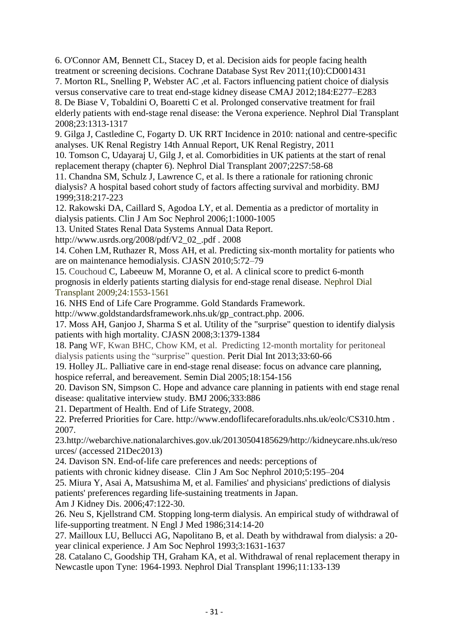6. [O'Connor AM,](https://remote.uhl-tr.nhs.uk/,DanaInfo=www.ncbi.nlm.nih.gov+pubmed?term=O) [Bennett CL,](https://remote.uhl-tr.nhs.uk/,DanaInfo=www.ncbi.nlm.nih.gov+pubmed?term=Bennett%20CL%5BAuthor%5D&cauthor=true&cauthor_uid=19588325) [Stacey D,](https://remote.uhl-tr.nhs.uk/,DanaInfo=www.ncbi.nlm.nih.gov+pubmed?term=Stacey%20D%5BAuthor%5D&cauthor=true&cauthor_uid=19588325) et al. Decision aids for people facing health treatment or screening decisions. [Cochrane Database Syst Rev 2011;\(10\):CD001431](https://remote.uhl-tr.nhs.uk/pubmed/,DanaInfo=www.ncbi.nlm.nih.gov+21975733) 7. [Morton](http://www.ncbi.nlm.nih.gov/sites/entrez?cmd=search&db=PubMed&term=%20Morton%20RL%5Bauth%5D) RL, [Snelling](http://www.ncbi.nlm.nih.gov/sites/entrez?cmd=search&db=PubMed&term=%20Snelling%20P%5Bauth%5D) P, [Webster](http://www.ncbi.nlm.nih.gov/sites/entrez?cmd=search&db=PubMed&term=%20Webster%20AC%5Bauth%5D) AC ,et al. Factors influencing patient choice of dialysis versus conservative care to treat end-stage kidney disease CMAJ 2012;184:E277–E283 8. De Biase V, Tobaldini O, Boaretti C et al. Prolonged conservative treatment for frail elderly patients with end-stage renal disease: the Verona experience. Nephrol Dial Transplant

2008;23:1313-1317

9. Gilga J, Castledine C, Fogarty D. UK RRT Incidence in 2010: national and centre-specific analyses. UK Renal Registry 14th Annual Report, UK Renal Registry, 2011

10. Tomson C, Udayaraj U, Gilg J, et al. Comorbidities in UK patients at the start of renal replacement therapy (chapter 6). Nephrol Dial Transplant 2007;22S7:58-68

11. Chandna SM, Schulz J, Lawrence C, et al. Is there a rationale for rationing chronic dialysis? A hospital based cohort study of factors affecting survival and morbidity. BMJ 1999;318:217-223

12. Rakowski DA, Caillard S, Agodoa LY, et al. Dementia as a predictor of mortality in dialysis patients. Clin J Am Soc Nephrol 2006;1:1000-1005

13. United States Renal Data Systems Annual Data Report.

http://www.usrds.org/2008/pdf/V2\_02\_.pdf . 2008

14. [Cohen](http://www.ncbi.nlm.nih.gov/sites/entrez?cmd=search&db=PubMed&term=%20Cohen%20LM%5Bauth%5D) LM, [Ruthazer](http://www.ncbi.nlm.nih.gov/sites/entrez?cmd=search&db=PubMed&term=%20Ruthazer%20R%5Bauth%5D) R, Moss AH, et al. Predicting six-month mortality for patients who are on maintenance hemodialysis. CJASN 2010;5:72–79

15. [Couchoud](http://ndt.oxfordjournals.org/search?author1=C%C3%A9cile+Couchoud&sortspec=date&submit=Submit) C, Labeeuw M, Moranne O, et al. A clinical score to predict 6-month prognosis in elderly patients starting dialysis for end-stage renal disease. Nephrol Dial Transplant 2009;24:1553-1561

16. NHS End of Life Care Programme. Gold Standards Framework.

http://www.goldstandardsframework.nhs.uk/gp\_contract.php. 2006.

17. Moss AH, Ganjoo J, Sharma S et al. Utility of the "surprise" question to identify dialysis patients with high mortality. CJASN 2008;3:1379-1384

18. Pang WF, Kwan BHC, Chow KM, et al. Predicting 12-month mortality for peritoneal dialysis patients using the "surprise" question. Perit Dial Int 2013;33:60-66

19. Holley JL. Palliative care in end-stage renal disease: focus on advance care planning, hospice referral, and bereavement. Semin Dial 2005;18:154-156

20. Davison SN, Simpson C. Hope and advance care planning in patients with end stage renal disease: qualitative interview study. BMJ 2006;333:886

21. Department of Health. End of Life Strategy, 2008.

22. Preferred Priorities for Care. http://www.endoflifecareforadults.nhs.uk/eolc/CS310.htm . 2007.

23.http://webarchive.nationalarchives.gov.uk/20130504185629/http://kidneycare.nhs.uk/reso urces/ (accessed 21Dec2013)

24. Davison SN. End-of-life care preferences and needs: perceptions of

patients with chronic kidney disease. Clin J Am Soc Nephrol 2010;5:195–204

25. [Miura Y,](http://www.ncbi.nlm.nih.gov/pubmed?term=Miura%20Y%5BAuthor%5D&cauthor=true&cauthor_uid=16377393) [Asai A,](http://www.ncbi.nlm.nih.gov/pubmed?term=Asai%20A%5BAuthor%5D&cauthor=true&cauthor_uid=16377393) [Matsushima M,](http://www.ncbi.nlm.nih.gov/pubmed?term=Matsushima%20M%5BAuthor%5D&cauthor=true&cauthor_uid=16377393) et al. Families' and physicians' predictions of dialysis patients' preferences regarding life-sustaining treatments in Japan.

Am J Kidney Dis. 2006;47:122-30.

26. Neu S, Kjellstrand CM. Stopping long-term dialysis. An empirical study of withdrawal of life-supporting treatment. N Engl J Med 1986;314:14-20

27. Mailloux LU, Bellucci AG, Napolitano B, et al. Death by withdrawal from dialysis: a 20 year clinical experience. J Am Soc Nephrol 1993;3:1631-1637

28. Catalano C, Goodship TH, Graham KA, et al. Withdrawal of renal replacement therapy in Newcastle upon Tyne: 1964-1993. Nephrol Dial Transplant 1996;11:133-139